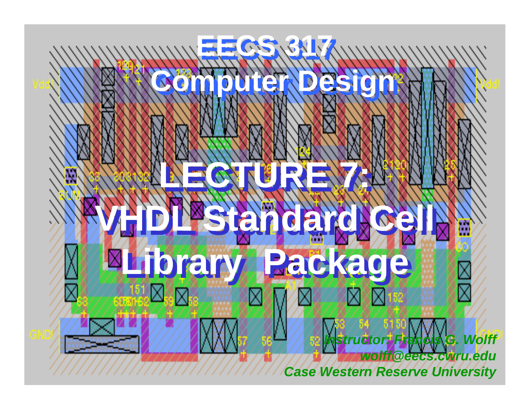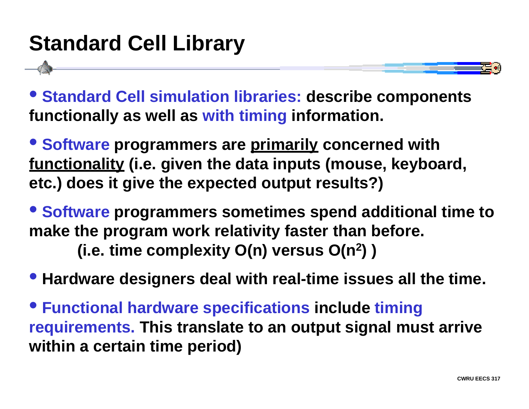# **Standard Cell Library**

• **Standard Cell simulation libraries: describe components functionally as well as with timing information.**

• **Software programmers are primarily concerned with functionality (i.e. given the data inputs (mouse, keyboard, etc.) does it give the expected output results?)**

• **Software programmers sometimes spend additional time to make the program work relativity faster than before. (i.e. time complexity O(n) versus O(n 2) )**

• **Hardware designers deal with real-time issues all the time.**

• **Functional hardware specifications include timing requirements. This translate to an output signal must arrive within a certain time period)**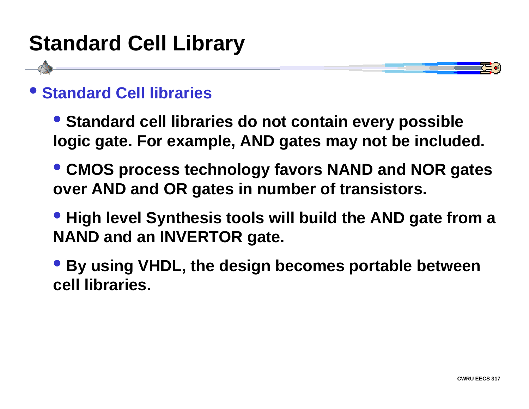# **Standard Cell Library**



• **Standard cell libraries do not contain every possible logic gate. For example, AND gates may not be included.**

- • **CMOS process technology favors NAND and NOR gates over AND and OR gates in number of transistors.**
- • **High level Synthesis tools will build the AND gate from a NAND and an INVERTOR gate.**

• **By using VHDL, the design becomes portable between cell libraries.**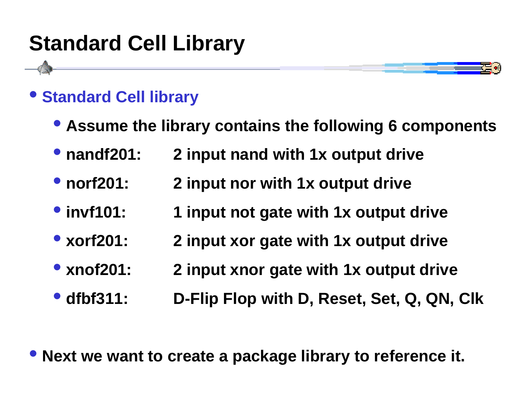# **Standard Cell Library**



#### $\bullet$ **Standard Cell library**

- • **Assume the library contains the following 6 components**
- • **nandf201: 2 input nand with 1x output drive**
- • **norf201: 2 input nor with 1x output drive**
- • **invf101: 1 input not gate with 1x output drive**
- • **xorf201: 2 input xor gate with 1x output drive**
- • **xnof201: 2 input xnor gate with 1x output drive**
- • **dfbf311: D-Flip Flop with D, Reset, Set, Q, QN, Clk**

• **Next we want to create a package library to reference it.**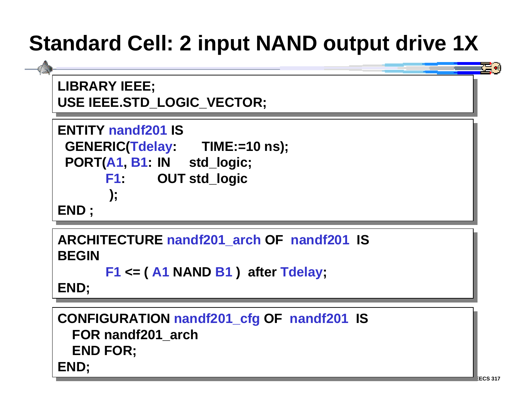# **Standard Cell: 2 input NAND output drive 1X**

**LIBRARY IEEE; LIBRARY IEEE; USE IEEE.STD\_LOGIC\_VECTOR; USE IEEE.STD\_LOGIC\_VECTOR;**

```
ENTITY nandf201 ISENTITY nandf201 IS GENERIC(Tdelay: TIME:=10 ns);
 GENERIC(Tdelay: TIME:=10 ns);
 PORT(A1, B1: IN std_logic;
 PORT(A1, B1: IN std_logic;
             F1: OUT std_logic
F1: OUT std_logic
              );
 );
END ;
END ;
```
**ARCHITECTURE nandf201\_arch OF nandf201 IS ARCHITECTURE nandf201\_arch OF nandf201 IS BEGINBEGIN**

```
F1 <= ( A1 NAND B1 ) after Tdelay;
F1 <= ( A1 NAND B1 ) after Tdelay;
```
**END; END;**

**CONFIGURATION nandf201\_cfg OF nandf201 IS CONFIGURATION nandf201\_cfg OF nandf201 IS FOR nandf201\_arch FOR nandf201\_arch END FOR; END FOR; END; END;**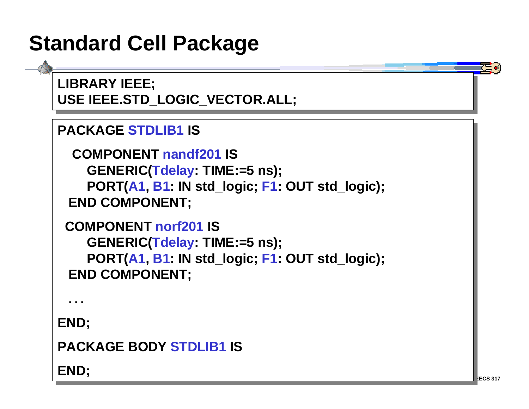## **Standard Cell Package**

**LIBRARY IEEE; LIBRARY IEEE; USE IEEE.STD\_LOGIC\_VECTOR.ALL; USE IEEE.STD\_LOGIC\_VECTOR.ALL;**

```
PACKAGE STDLIB1 ISPACKAGE STDLIB1 IS
```

```
 COMPONENT nandf201 IS COMPONENT nandf201 IS GENERIC(Tdelay: TIME:=5 ns);
 GENERIC(Tdelay: TIME:=5 ns);
 PORT(A1, B1: IN std_logic; F1: OUT std_logic);
 PORT(A1, B1: IN std_logic; F1: OUT std_logic);
 END COMPONENT;
 END COMPONENT;
```

```
 COMPONENT norf201 IS COMPONENT norf201 IS GENERIC(Tdelay: TIME:=5 ns);
 GENERIC(Tdelay: TIME:=5 ns);
 PORT(A1, B1: IN std_logic; F1: OUT std_logic);
 PORT(A1, B1: IN std_logic; F1: OUT std_logic);
 END COMPONENT;
 END COMPONENT;
```
**. . .**

**END; END;**

```
PACKAGE BODY STDLIB1 ISPACKAGE BODY STDLIB1 IS
```
**END; END;**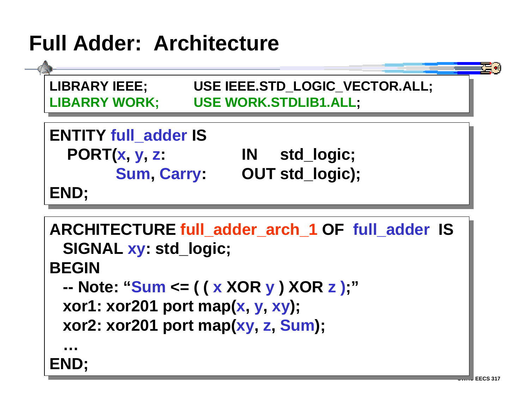# **Full Adder: Architecture**



```
ARCHITECTURE full_adder_arch_1 OF full_adder IS
ARCHITECTURE full_adder_arch_1 OF full_adder IS
 SIGNAL xy: std_logic;
 SIGNAL xy: std_logic;
BEGINBEGIN -- Note: "Sum <= ( ( x XOR y ) XOR z );"
 -- Note: "Sum <= ( ( 
x XOR y 
) XOR z );"
 xor1: xor201 port map(x, y, xy);
 xor1: xor201 port map(
x, 
y, xy);
 xor2: xor201 port map(xy, z, Sum);
 xor2: xor201 port map(xy, 
z, Sum);
END;
END;
 …
```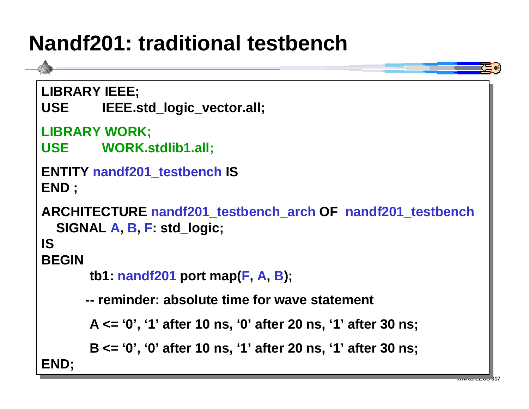## **Nandf201: traditional testbench**

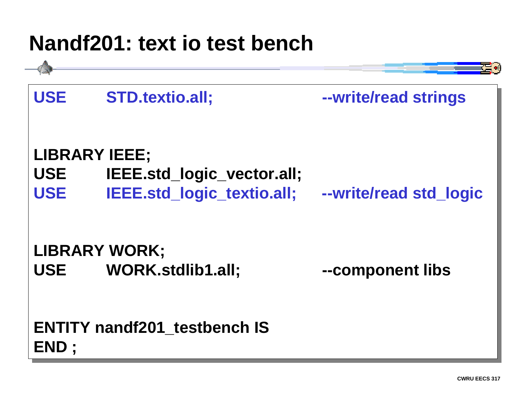#### **Nandf201: text io test bench**

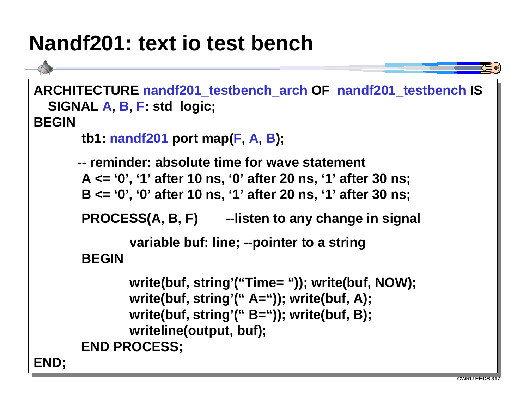#### **Nandf201: text io test bench**

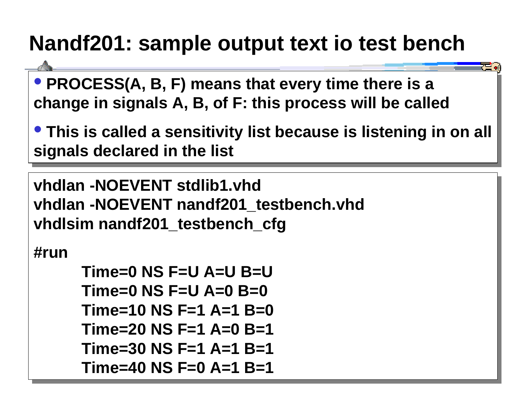# **Nandf201: sample output text io test bench**

• **PROCESS(A, B, F) means that every time there is a** • **PROCESS(A, B, F) means that every time there is a change in signals A, B, of F: this process will be called change in signals A, B, of F: this process will be called**

• **This is called a sensitivity list because is listening in on all** • **This is called a sensitivity list because is listening in on all signals declared in the list signals declared in the list**

**CWRU EECS 317**

**vhdlan -NOEVENT stdlib1.vhdvhdlan -NOEVENT stdlib1.vhdvhdlan -NOEVENT nandf201\_testbench.vhd vhdlan -NOEVENT nandf201\_testbench.vhd vhdlsim nandf201\_testbench\_cfg vhdlsim nandf201\_testbench\_cfg**

**#run#run**

```
Time=0 NS F=U A=U B=UTime=0 NS F=U A=U B=U Time=0 NS F=U A=0 B=0 Time=0 NS F=U A=0 B=0Time=10 NS F=1 A=1 B=0Time=10 NS F=1 A=1 B=0Time=20 NS F=1 A=0 B=1Time=20 NS F=1 A=0 B=1Time=30 NS F=1 A=1 B=1Time=30 NS F=1 A=1 B=1Time=40 NS F=0 A=1 B=1Time=40 NS F=0 A=1 B=1
```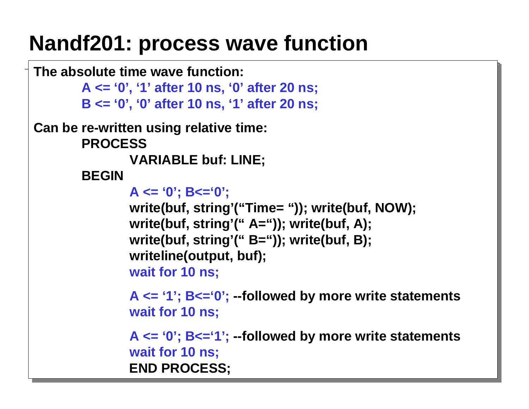#### **Nandf201: process wave function**

```
The absolute time wave function:The absolute time wave function:A <= '0', '1' after 10 ns, '0' after 20 ns;
A <= '0', '1' after 10 ns, '0' after 20 ns;
               B <= '0', '0' after 10 ns, '1' after 20 ns;
B <= '0', '0' after 10 ns, '1' after 20 ns;
Can be re-written using relative time:
Can be re-written using relative time:
               PROCESSPROCESSVARIABLE buf: LINE;
VARIABLE buf: LINE;
               BEGINBEGINA <= '0'; B<='0';
A <= '0'; B<='0';
                               write(buf, string'("Time= ")); write(buf, NOW);
write(buf, string'("Time= ")); write(buf, NOW);
                               write(buf, string'(" A=")); write(buf, A);
write(buf, string'(" A=")); write(buf, A);
                               write(buf, string'(" B=")); write(buf, B);
write(buf, string'(" B=")); write(buf, B);
                               writeline(output, buf);
writeline(output, buf);
                               wait for 10 ns;
wait for 10 ns;
                               A <= '1'; B<='0'; --followed by more write statements
A <= '1'; B<='0'; --followed by more write statements
                               wait for 10 ns;
wait for 10 ns;
                               A <= '0'; B<='1'; --followed by more write statements
A <= '0'; B<='1'; --followed by more write statements
                               wait for 10 ns;
wait for 10 ns;
                END PROCESS;
 END PROCESS;
```
**CWRU EECS** 3177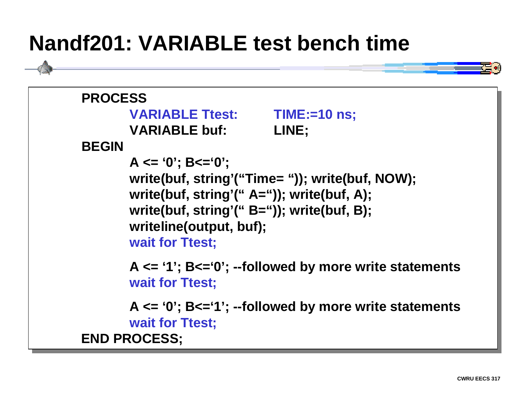#### **Nandf201: VARIABLE test bench time**



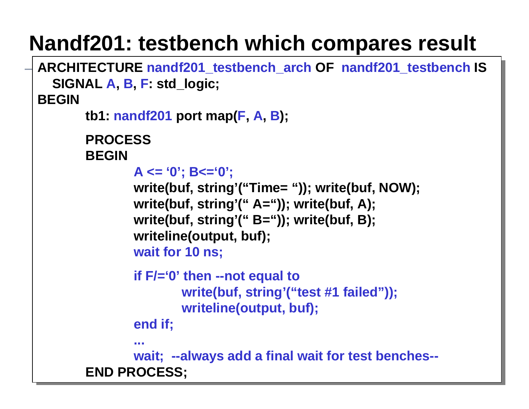# **Nandf201: testbench which compares result**

```
ARCHITECTURE nandf201_testbench_arch OF nandf201_testbench IS
ARCHITECTURE nandf201_testbench_arch OF nandf201_testbench IS
  SIGNAL A, B, F: std_logic;
SIGNAL 
A, B, F: std_logic;
BEGINBEGINtb1: nandf201 port map(F, A, B);
tb1: nandf201 port map(
F, A, B);
               PROCESSPROCESSBEGINBEGINA <= '0'; B<='0';
A <= '0'; B<='0';
                              write(buf, string'("Time= ")); write(buf, NOW);
write(buf, string'("Time= ")); write(buf, NOW);
                              write(buf, string'(" A=")); write(buf, A);
write(buf, string'(" A=")); write(buf, A);
                              write(buf, string'(" B=")); write(buf, B);
write(buf, string'(" B=")); write(buf, B);
                              writeline(output, buf);
writeline(output, buf);
                              wait for 10 ns;
wait for 10 ns;
                               if F/='0' then --not equal to
if F/='0' then --not equal to
                                              write(buf, string'("test #1 failed"));
write(buf, string'("test #1 failed"));
                                              writeline(output, buf);
writeline(output, buf);
                              end if;
end if;
                              wait; --always add a final wait for test benches--
wait; --always add a final wait for test benches--
               END PROCESS;
END PROCESS;...
```